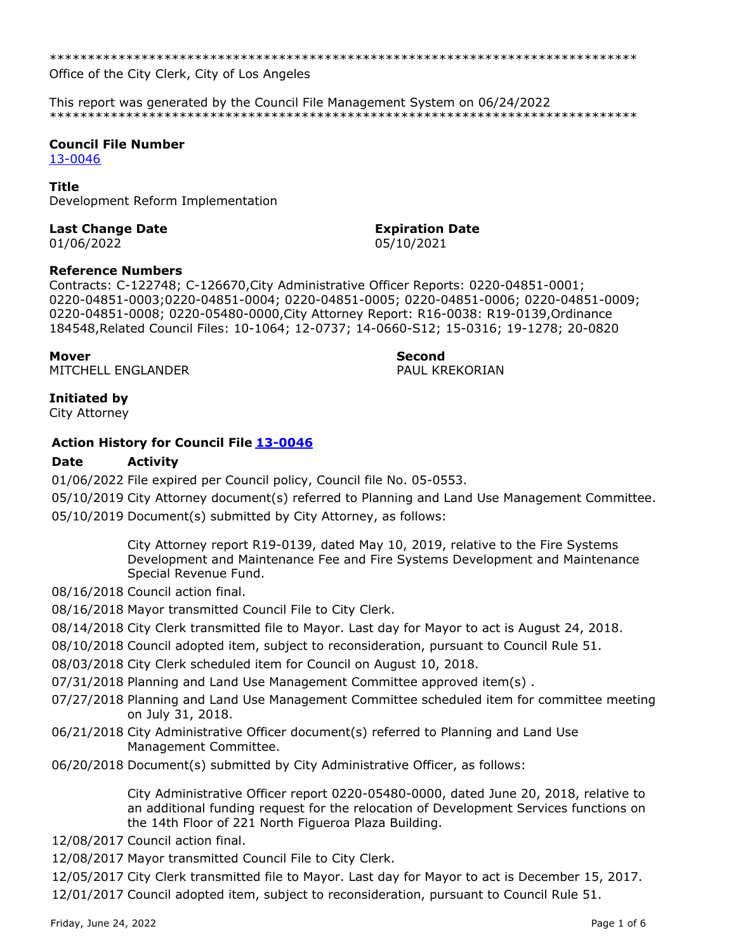\*\*\*\*\*\*\*\*\*\*\*\*\*\*\*\*\*\*\*\*\*\*\*\*\*\*\*\*\*\*\*\*\*\*\*\*\*\*\*\*\*\*\*\*\*\*\*\*\*\*\*\*\*\*\*\*\*\*\*\*\*\*\*\*\*\*\*\*\*\*\*\*\*\*\*\*\*

Office of the City Clerk, City of Los Angeles

This report was generated by the Council File Management System on 06/24/2022 \*\*\*\*\*\*\*\*\*\*\*\*\*\*\*\*\*\*\*\*\*\*\*\*\*\*\*\*\*\*\*\*\*\*\*\*\*\*\*\*\*\*\*\*\*\*\*\*\*\*\*\*\*\*\*\*\*\*\*\*\*\*\*\*\*\*\*\*\*\*\*\*\*\*\*\*\*

# **Council File Number**

[13-0046](https://cityclerk.lacity.org/lacityclerkconnect/index.cfm?fa=ccfi.viewrecord&cfnumber=13-0046)

### **Title**

Development Reform Implementation

### **Last Change Date Expiration Date**

# 01/06/2022 05/10/2021

### **Reference Numbers**

Contracts: C-122748; C-126670,City Administrative Officer Reports: 0220-04851-0001; 0220-04851-0003;0220-04851-0004; 0220-04851-0005; 0220-04851-0006; 0220-04851-0009; 0220-04851-0008; 0220-05480-0000,City Attorney Report: R16-0038: R19-0139,Ordinance 184548,Related Council Files: 10-1064; 12-0737; 14-0660-S12; 15-0316; 19-1278; 20-0820

MITCHELL ENGLANDER PAUL KREKORIAN

**Mover Second**

# **Initiated by**

City Attorney

# **Action History for Council File [13-0046](https://cityclerk.lacity.org/lacityclerkconnect/index.cfm?fa=ccfi.viewrecord&cfnumber=13-0046)**

# **Date Activity**

01/06/2022 File expired per Council policy, Council file No. 05-0553.

05/10/2019 City Attorney document(s) referred to Planning and Land Use Management Committee. 05/10/2019 Document(s) submitted by City Attorney, as follows:

> City Attorney report R19-0139, dated May 10, 2019, relative to the Fire Systems Development and Maintenance Fee and Fire Systems Development and Maintenance Special Revenue Fund.

08/16/2018 Council action final.

08/16/2018 Mayor transmitted Council File to City Clerk.

08/14/2018 City Clerk transmitted file to Mayor. Last day for Mayor to act is August 24, 2018.

- 08/10/2018 Council adopted item, subject to reconsideration, pursuant to Council Rule 51.
- 08/03/2018 City Clerk scheduled item for Council on August 10, 2018.
- 07/31/2018 Planning and Land Use Management Committee approved item(s) .
- 07/27/2018 Planning and Land Use Management Committee scheduled item for committee meeting on July 31, 2018.
- 06/21/2018 City Administrative Officer document(s) referred to Planning and Land Use Management Committee.
- 06/20/2018 Document(s) submitted by City Administrative Officer, as follows:

City Administrative Officer report 0220-05480-0000, dated June 20, 2018, relative to an additional funding request for the relocation of Development Services functions on the 14th Floor of 221 North Figueroa Plaza Building.

- 12/08/2017 Council action final.
- 12/08/2017 Mayor transmitted Council File to City Clerk.

12/05/2017 City Clerk transmitted file to Mayor. Last day for Mayor to act is December 15, 2017.

12/01/2017 Council adopted item, subject to reconsideration, pursuant to Council Rule 51.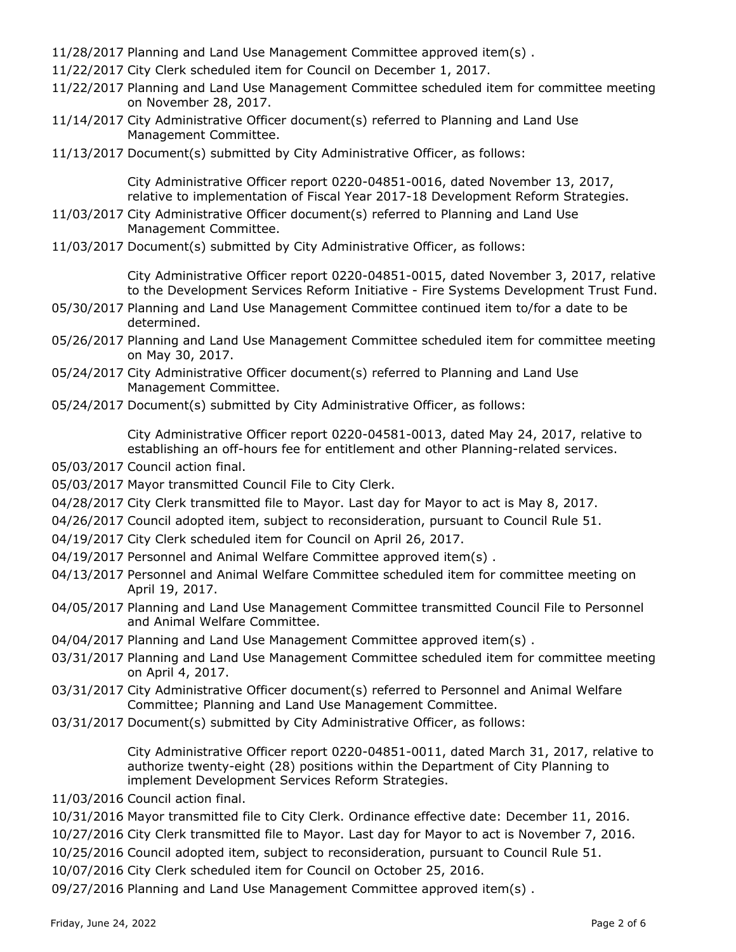11/28/2017 Planning and Land Use Management Committee approved item(s) .

- 11/22/2017 City Clerk scheduled item for Council on December 1, 2017.
- 11/22/2017 Planning and Land Use Management Committee scheduled item for committee meeting on November 28, 2017.
- 11/14/2017 City Administrative Officer document(s) referred to Planning and Land Use Management Committee.
- 11/13/2017 Document(s) submitted by City Administrative Officer, as follows:

City Administrative Officer report 0220-04851-0016, dated November 13, 2017, relative to implementation of Fiscal Year 2017-18 Development Reform Strategies.

- 11/03/2017 City Administrative Officer document(s) referred to Planning and Land Use Management Committee.
- 11/03/2017 Document(s) submitted by City Administrative Officer, as follows:

City Administrative Officer report 0220-04851-0015, dated November 3, 2017, relative to the Development Services Reform Initiative - Fire Systems Development Trust Fund.

- 05/30/2017 Planning and Land Use Management Committee continued item to/for a date to be determined.
- 05/26/2017 Planning and Land Use Management Committee scheduled item for committee meeting on May 30, 2017.
- 05/24/2017 City Administrative Officer document(s) referred to Planning and Land Use Management Committee.
- 05/24/2017 Document(s) submitted by City Administrative Officer, as follows:

City Administrative Officer report 0220-04581-0013, dated May 24, 2017, relative to establishing an off-hours fee for entitlement and other Planning-related services.

- 05/03/2017 Council action final.
- 05/03/2017 Mayor transmitted Council File to City Clerk.
- 04/28/2017 City Clerk transmitted file to Mayor. Last day for Mayor to act is May 8, 2017.
- 04/26/2017 Council adopted item, subject to reconsideration, pursuant to Council Rule 51.
- 04/19/2017 City Clerk scheduled item for Council on April 26, 2017.
- 04/19/2017 Personnel and Animal Welfare Committee approved item(s).
- 04/13/2017 Personnel and Animal Welfare Committee scheduled item for committee meeting on April 19, 2017.
- 04/05/2017 Planning and Land Use Management Committee transmitted Council File to Personnel and Animal Welfare Committee.
- 04/04/2017 Planning and Land Use Management Committee approved item(s) .
- 03/31/2017 Planning and Land Use Management Committee scheduled item for committee meeting on April 4, 2017.
- 03/31/2017 City Administrative Officer document(s) referred to Personnel and Animal Welfare Committee; Planning and Land Use Management Committee.
- 03/31/2017 Document(s) submitted by City Administrative Officer, as follows:

City Administrative Officer report 0220-04851-0011, dated March 31, 2017, relative to authorize twenty-eight (28) positions within the Department of City Planning to implement Development Services Reform Strategies.

- 11/03/2016 Council action final.
- 10/31/2016 Mayor transmitted file to City Clerk. Ordinance effective date: December 11, 2016.
- 10/27/2016 City Clerk transmitted file to Mayor. Last day for Mayor to act is November 7, 2016.
- 10/25/2016 Council adopted item, subject to reconsideration, pursuant to Council Rule 51.
- 10/07/2016 City Clerk scheduled item for Council on October 25, 2016.
- 09/27/2016 Planning and Land Use Management Committee approved item(s) .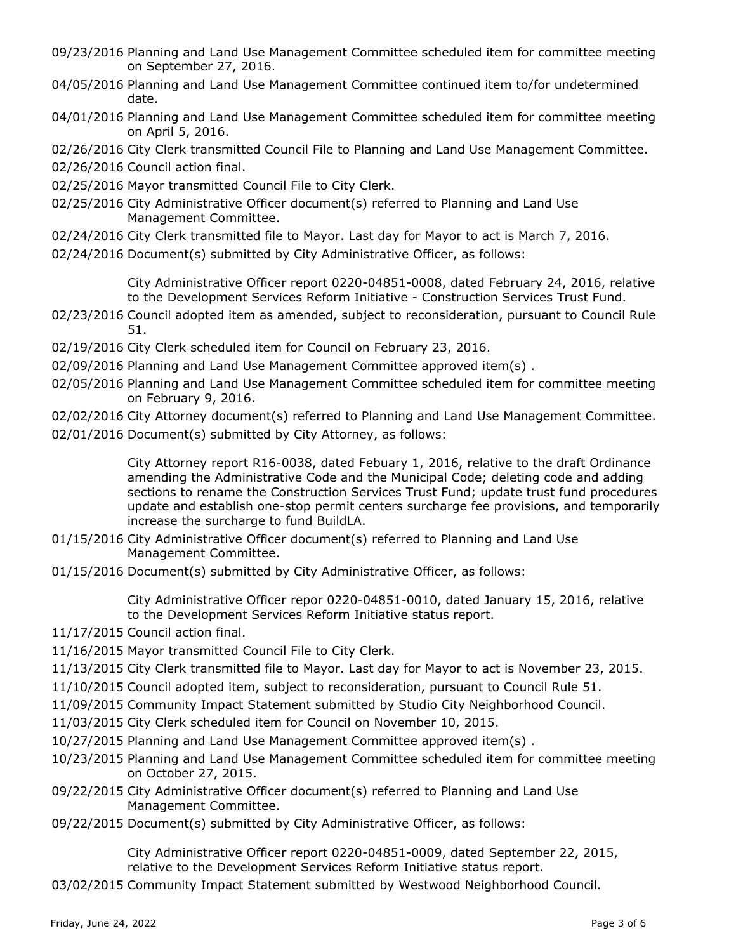- 09/23/2016 Planning and Land Use Management Committee scheduled item for committee meeting on September 27, 2016.
- 04/05/2016 Planning and Land Use Management Committee continued item to/for undetermined date.
- 04/01/2016 Planning and Land Use Management Committee scheduled item for committee meeting on April 5, 2016.
- 02/26/2016 City Clerk transmitted Council File to Planning and Land Use Management Committee.
- 02/26/2016 Council action final.
- 02/25/2016 Mayor transmitted Council File to City Clerk.
- 02/25/2016 City Administrative Officer document(s) referred to Planning and Land Use Management Committee.
- 02/24/2016 City Clerk transmitted file to Mayor. Last day for Mayor to act is March 7, 2016.
- 02/24/2016 Document(s) submitted by City Administrative Officer, as follows:

City Administrative Officer report 0220-04851-0008, dated February 24, 2016, relative to the Development Services Reform Initiative - Construction Services Trust Fund.

- 02/23/2016 Council adopted item as amended, subject to reconsideration, pursuant to Council Rule 51.
- 02/19/2016 City Clerk scheduled item for Council on February 23, 2016.
- 02/09/2016 Planning and Land Use Management Committee approved item(s) .
- 02/05/2016 Planning and Land Use Management Committee scheduled item for committee meeting on February 9, 2016.
- 02/02/2016 City Attorney document(s) referred to Planning and Land Use Management Committee.
- 02/01/2016 Document(s) submitted by City Attorney, as follows:

City Attorney report R16-0038, dated Febuary 1, 2016, relative to the draft Ordinance amending the Administrative Code and the Municipal Code; deleting code and adding sections to rename the Construction Services Trust Fund; update trust fund procedures update and establish one-stop permit centers surcharge fee provisions, and temporarily increase the surcharge to fund BuildLA.

- 01/15/2016 City Administrative Officer document(s) referred to Planning and Land Use Management Committee.
- 01/15/2016 Document(s) submitted by City Administrative Officer, as follows:

City Administrative Officer repor 0220-04851-0010, dated January 15, 2016, relative to the Development Services Reform Initiative status report.

- 11/17/2015 Council action final.
- 11/16/2015 Mayor transmitted Council File to City Clerk.
- 11/13/2015 City Clerk transmitted file to Mayor. Last day for Mayor to act is November 23, 2015.
- 11/10/2015 Council adopted item, subject to reconsideration, pursuant to Council Rule 51.
- 11/09/2015 Community Impact Statement submitted by Studio City Neighborhood Council.
- 11/03/2015 City Clerk scheduled item for Council on November 10, 2015.
- 10/27/2015 Planning and Land Use Management Committee approved item(s) .
- 10/23/2015 Planning and Land Use Management Committee scheduled item for committee meeting on October 27, 2015.
- 09/22/2015 City Administrative Officer document(s) referred to Planning and Land Use Management Committee.
- 09/22/2015 Document(s) submitted by City Administrative Officer, as follows:

City Administrative Officer report 0220-04851-0009, dated September 22, 2015, relative to the Development Services Reform Initiative status report.

03/02/2015 Community Impact Statement submitted by Westwood Neighborhood Council.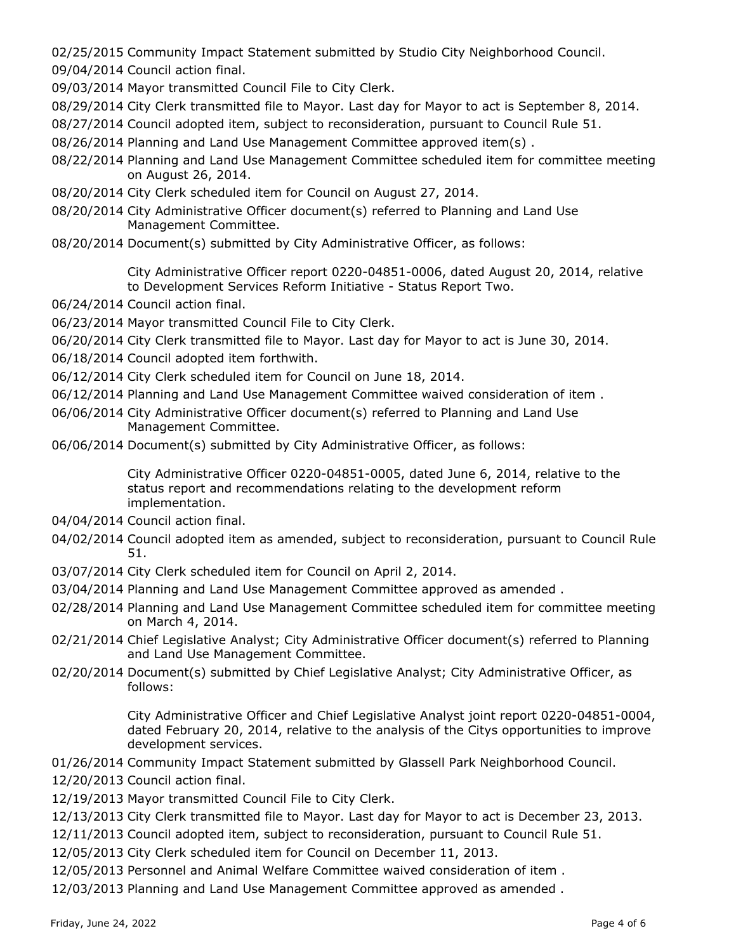02/25/2015 Community Impact Statement submitted by Studio City Neighborhood Council.

09/04/2014 Council action final.

- 09/03/2014 Mayor transmitted Council File to City Clerk.
- 08/29/2014 City Clerk transmitted file to Mayor. Last day for Mayor to act is September 8, 2014.
- 08/27/2014 Council adopted item, subject to reconsideration, pursuant to Council Rule 51.
- 08/26/2014 Planning and Land Use Management Committee approved item(s) .
- 08/22/2014 Planning and Land Use Management Committee scheduled item for committee meeting on August 26, 2014.
- 08/20/2014 City Clerk scheduled item for Council on August 27, 2014.
- 08/20/2014 City Administrative Officer document(s) referred to Planning and Land Use Management Committee.
- 08/20/2014 Document(s) submitted by City Administrative Officer, as follows:

City Administrative Officer report 0220-04851-0006, dated August 20, 2014, relative to Development Services Reform Initiative - Status Report Two.

- 06/24/2014 Council action final.
- 06/23/2014 Mayor transmitted Council File to City Clerk.
- 06/20/2014 City Clerk transmitted file to Mayor. Last day for Mayor to act is June 30, 2014.
- 06/18/2014 Council adopted item forthwith.
- 06/12/2014 City Clerk scheduled item for Council on June 18, 2014.
- 06/12/2014 Planning and Land Use Management Committee waived consideration of item .
- 06/06/2014 City Administrative Officer document(s) referred to Planning and Land Use Management Committee.
- 06/06/2014 Document(s) submitted by City Administrative Officer, as follows:

City Administrative Officer 0220-04851-0005, dated June 6, 2014, relative to the status report and recommendations relating to the development reform implementation.

- 04/04/2014 Council action final.
- 04/02/2014 Council adopted item as amended, subject to reconsideration, pursuant to Council Rule 51.
- 03/07/2014 City Clerk scheduled item for Council on April 2, 2014.
- 03/04/2014 Planning and Land Use Management Committee approved as amended .
- 02/28/2014 Planning and Land Use Management Committee scheduled item for committee meeting on March 4, 2014.
- 02/21/2014 Chief Legislative Analyst; City Administrative Officer document(s) referred to Planning and Land Use Management Committee.
- 02/20/2014 Document(s) submitted by Chief Legislative Analyst; City Administrative Officer, as follows:

City Administrative Officer and Chief Legislative Analyst joint report 0220-04851-0004, dated February 20, 2014, relative to the analysis of the Citys opportunities to improve development services.

- 01/26/2014 Community Impact Statement submitted by Glassell Park Neighborhood Council.
- 12/20/2013 Council action final.
- 12/19/2013 Mayor transmitted Council File to City Clerk.
- 12/13/2013 City Clerk transmitted file to Mayor. Last day for Mayor to act is December 23, 2013.
- 12/11/2013 Council adopted item, subject to reconsideration, pursuant to Council Rule 51.
- 12/05/2013 City Clerk scheduled item for Council on December 11, 2013.
- 12/05/2013 Personnel and Animal Welfare Committee waived consideration of item .
- 12/03/2013 Planning and Land Use Management Committee approved as amended .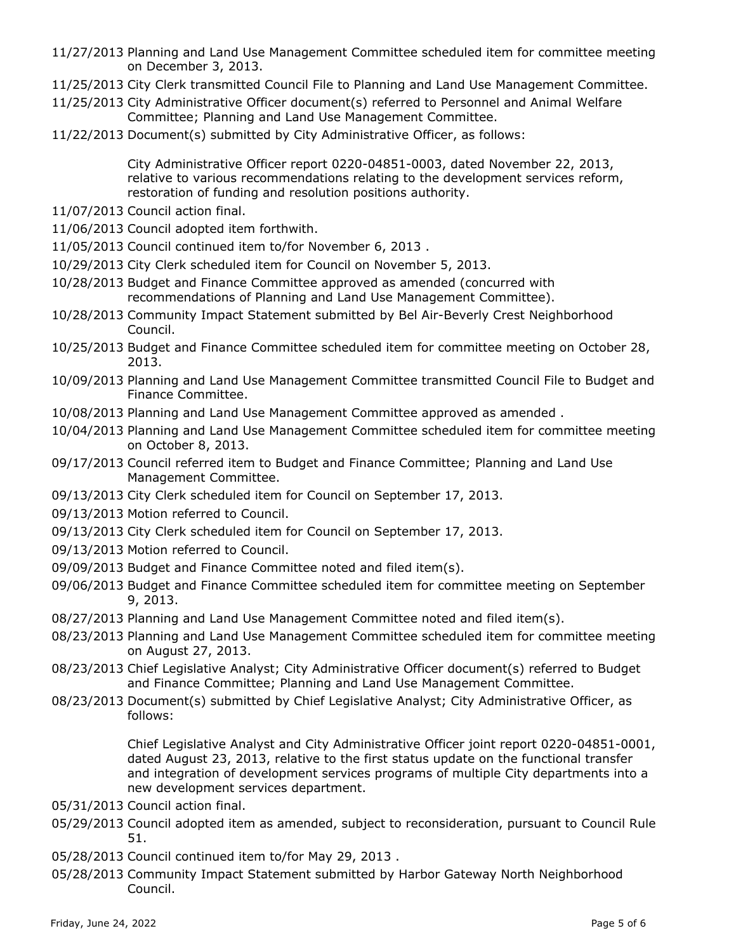- 11/27/2013 Planning and Land Use Management Committee scheduled item for committee meeting on December 3, 2013.
- 11/25/2013 City Clerk transmitted Council File to Planning and Land Use Management Committee.
- 11/25/2013 City Administrative Officer document(s) referred to Personnel and Animal Welfare Committee; Planning and Land Use Management Committee.
- 11/22/2013 Document(s) submitted by City Administrative Officer, as follows:

City Administrative Officer report 0220-04851-0003, dated November 22, 2013, relative to various recommendations relating to the development services reform, restoration of funding and resolution positions authority.

- 11/07/2013 Council action final.
- 11/06/2013 Council adopted item forthwith.
- 11/05/2013 Council continued item to/for November 6, 2013 .
- 10/29/2013 City Clerk scheduled item for Council on November 5, 2013.
- 10/28/2013 Budget and Finance Committee approved as amended (concurred with recommendations of Planning and Land Use Management Committee).
- 10/28/2013 Community Impact Statement submitted by Bel Air-Beverly Crest Neighborhood Council.
- 10/25/2013 Budget and Finance Committee scheduled item for committee meeting on October 28, 2013.
- 10/09/2013 Planning and Land Use Management Committee transmitted Council File to Budget and Finance Committee.
- 10/08/2013 Planning and Land Use Management Committee approved as amended .
- 10/04/2013 Planning and Land Use Management Committee scheduled item for committee meeting on October 8, 2013.
- 09/17/2013 Council referred item to Budget and Finance Committee; Planning and Land Use Management Committee.
- 09/13/2013 City Clerk scheduled item for Council on September 17, 2013.
- 09/13/2013 Motion referred to Council.
- 09/13/2013 City Clerk scheduled item for Council on September 17, 2013.
- 09/13/2013 Motion referred to Council.
- 09/09/2013 Budget and Finance Committee noted and filed item(s).
- 09/06/2013 Budget and Finance Committee scheduled item for committee meeting on September 9, 2013.
- 08/27/2013 Planning and Land Use Management Committee noted and filed item(s).
- 08/23/2013 Planning and Land Use Management Committee scheduled item for committee meeting on August 27, 2013.
- 08/23/2013 Chief Legislative Analyst; City Administrative Officer document(s) referred to Budget and Finance Committee; Planning and Land Use Management Committee.
- 08/23/2013 Document(s) submitted by Chief Legislative Analyst; City Administrative Officer, as follows:

Chief Legislative Analyst and City Administrative Officer joint report 0220-04851-0001, dated August 23, 2013, relative to the first status update on the functional transfer and integration of development services programs of multiple City departments into a new development services department.

- 05/31/2013 Council action final.
- 05/29/2013 Council adopted item as amended, subject to reconsideration, pursuant to Council Rule 51.
- 05/28/2013 Council continued item to/for May 29, 2013 .
- 05/28/2013 Community Impact Statement submitted by Harbor Gateway North Neighborhood Council.